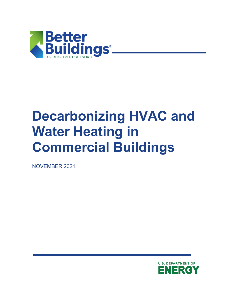

# **Decarbonizing HVAC and Water Heating in Commercial Buildings**

NOVEMBER 2021

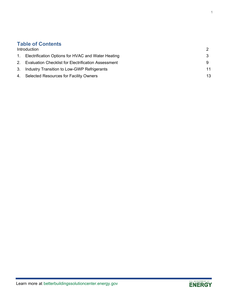#### **Table of Contents**

| Introduction                                           |    |
|--------------------------------------------------------|----|
| 1. Electrification Options for HVAC and Water Heating  |    |
| 2. Evaluation Checklist for Electrification Assessment |    |
| 3. Industry Transition to Low-GWP Refrigerants         | 11 |
| 4. Selected Resources for Facility Owners              | 13 |

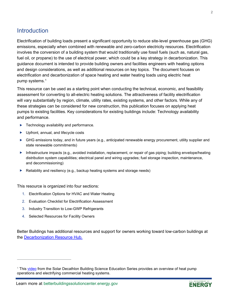#### <span id="page-2-0"></span>**Introduction**

Electrification of building loads present a significant opportunity to reduce site-level greenhouse gas (GHG) emissions, especially when combined with renewable and zero-carbon electricity resources. Electrification involves the conversion of a building system that would traditionally use fossil fuels (such as, natural gas, fuel oil, or propane) to the use of electrical power, which could be a key strategy in decarbonization. This guidance document is intended to provide building owners and facilities engineers with heating options and design considerations, as well as additional resources on key topics. The document focuses on electrification and decarbonization of space heating and water heating loads using electric heat pump systems. [1](#page-2-1)

This resource can be used as a starting point when conducting the technical, economic, and feasibility assessment for converting to all-electric heating solutions. The attractiveness of facility electrification will vary substantially by region, climate, utility rates, existing systems, and other factors. While any of these strategies can be considered for new construction, this publication focuses on applying heat pumps to existing facilities. Key considerations for existing buildings include: Technology availability and performance.

- ▶ Technology availability and performance.
- ▶ Upfront, annual, and lifecycle costs
- GHG emissions today, and in future years (e.g., anticipated renewable energy procurement, utility supplier and state renewable commitments)
- Infrastructure impacts (e.g., avoided installation, replacement, or repair of gas piping; building envelope/heating distribution system capabilities; electrical panel and wiring upgrades; fuel storage inspection, maintenance, and decommissioning)
- $\blacktriangleright$  Reliability and resiliency (e.g., backup heating systems and storage needs)

This resource is organized into four sections:

- 1. Electrification Options for HVAC and Water Heating
- 2. Evaluation Checklist for Electrification Assessment
- 3. Industry Transition to Low-GWP Refrigerants
- 4. Selected Resources for Facility Owners

Better Buildings has additional resources and support for owners working toward low-carbon buildings at the [Decarbonization Resource Hub.](https://betterbuildingssolutioncenter.energy.gov/carbon-hub)



<span id="page-2-1"></span><sup>&</sup>lt;sup>1</sup> This [video](https://www.youtube.com/watch?v=edmzHpaK-sQ) from the Solar Decathlon Building Science Education Series provides an overview of heat pump operations and electrifying commercial heating systems.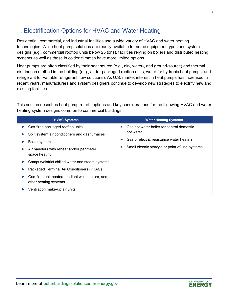## <span id="page-3-0"></span>1. Electrification Options for HVAC and Water Heating

Residential, commercial, and industrial facilities use a wide variety of HVAC and water heating technologies. While heat pump solutions are readily available for some equipment types and system designs (e.g., commercial rooftop units below 25 tons), facilities relying on boilers and distributed heating systems as well as those in colder climates have more limited options.

Heat pumps are often classified by their heat source (e.g., air-, water-, and ground-source) and thermal distribution method in the building (e.g., air for packaged rooftop units, water for hydronic heat pumps, and refrigerant for variable refrigerant flow solutions). As U.S. market interest in heat pumps has increased in recent years, manufacturers and system designers continue to develop new strategies to electrify new and existing facilities.

This section describes heat pump retrofit options and key considerations for the following HVAC and water heating system designs common to commercial buildings.

| <b>HVAC Systems</b>                                                        | <b>Water Heating Systems</b>                        |
|----------------------------------------------------------------------------|-----------------------------------------------------|
| Gas-fired packaged rooftop units                                           | Gas hot water boiler for central domestic<br>▶      |
| Split system air conditioners and gas furnaces                             | hot water                                           |
| <b>Boiler systems</b>                                                      | Gas or electric resistance water heaters<br>Þ       |
| Air handlers with reheat and/or perimeter<br>space heating                 | Small electric storage or point-of-use systems<br>▶ |
| Campus/district chilled water and steam systems                            |                                                     |
| Packaged Terminal Air Conditioners (PTAC)                                  |                                                     |
| Gas-fired unit heaters, radiant wall heaters, and<br>other heating systems |                                                     |
| Ventilation make-up air units                                              |                                                     |

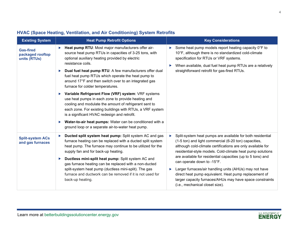| <b>Existing System</b>                               | <b>Heat Pump Retrofit Options</b>                                                                                                                                                                                                                                                                                                                                                                                                                                                                                                                                                                                                                                                                                                                                                                                        | <b>Key Considerations</b>                                                                                                                                                                                                                                                                                                                                                                                                                                                                                                                                                  |  |
|------------------------------------------------------|--------------------------------------------------------------------------------------------------------------------------------------------------------------------------------------------------------------------------------------------------------------------------------------------------------------------------------------------------------------------------------------------------------------------------------------------------------------------------------------------------------------------------------------------------------------------------------------------------------------------------------------------------------------------------------------------------------------------------------------------------------------------------------------------------------------------------|----------------------------------------------------------------------------------------------------------------------------------------------------------------------------------------------------------------------------------------------------------------------------------------------------------------------------------------------------------------------------------------------------------------------------------------------------------------------------------------------------------------------------------------------------------------------------|--|
| <b>Gas-fired</b><br>packaged rooftop<br>units (RTUs) | Heat pump RTU: Most major manufacturers offer air-<br>▶<br>source heat pump RTUs in capacities of 3-25 tons, with<br>optional auxiliary heating provided by electric<br>resistance coils.<br>Dual fuel heat pump RTU: A few manufacturers offer dual<br>▶<br>fuel heat pump RTUs which operate the heat pump to<br>around 17°F and then switch over to an integrated gas<br>furnace for colder temperatures.<br>▶ Variable Refrigerant Flow (VRF) system: VRF systems<br>use heat pumps in each zone to provide heating and<br>cooling and modulate the amount of refrigerant sent to<br>each zone. For existing buildings with RTUs, a VRF system<br>is a significant HVAC redesign and retrofit.<br>Water-to-air heat pumps: Water can be conditioned with a<br>▶<br>ground loop or a separate air-to-water heat pump. | Some heat pump models report heating capacity 0°F to<br>10°F, although there is no standardized cold-climate<br>specification for RTUs or VRF systems.<br>When available, dual fuel heat pump RTUs are a relatively<br>straightforward retrofit for gas-fired RTUs.                                                                                                                                                                                                                                                                                                        |  |
| <b>Split-system ACs</b><br>and gas furnaces          | Ducted split system heat pump: Split system AC and gas<br>▶<br>furnace heating can be replaced with a ducted split system<br>heat pump. The furnace may continue to be utilized for the<br>supply fan and for back-up heating.<br>Ductless mini-split heat pump: Split system AC and<br>Þ.<br>gas furnace heating can be replaced with a non-ducted<br>split-system heat pump (ductless mini-split). The gas<br>furnace and ductwork can be removed if it is not used for<br>back-up heating.                                                                                                                                                                                                                                                                                                                            | Split-system heat pumps are available for both residential<br>▶<br>(1-5 ton) and light commercial (6-20 ton) capacities,<br>although cold-climate certifications are only available for<br>residential-style models. Cold-climate heat pump solutions<br>are available for residential capacities (up to 5 tons) and<br>can operate down to -15°F.<br>Larger furnaces/air handling units (AHUs) may not have<br>Þ.<br>direct heat pump equivalent. Heat pump replacement of<br>larger capacity furnaces/AHUs may have space constraints<br>(i.e., mechanical closet size). |  |

#### **HVAC (Space Heating, Ventilation, and Air Conditioning) System Retrofits**

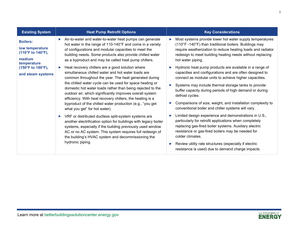| <b>Existing System</b>                                                                                    | <b>Heat Pump Retrofit Options</b>                                                                                                                                                                                                                                                                                                                                                                                                                                                                                                                                                                                                                                         | <b>Key Considerations</b>                                                                                                                                                                                                                                                                                                                                                                                                                                                                                                                                  |
|-----------------------------------------------------------------------------------------------------------|---------------------------------------------------------------------------------------------------------------------------------------------------------------------------------------------------------------------------------------------------------------------------------------------------------------------------------------------------------------------------------------------------------------------------------------------------------------------------------------------------------------------------------------------------------------------------------------------------------------------------------------------------------------------------|------------------------------------------------------------------------------------------------------------------------------------------------------------------------------------------------------------------------------------------------------------------------------------------------------------------------------------------------------------------------------------------------------------------------------------------------------------------------------------------------------------------------------------------------------------|
| <b>Boilers:</b><br>low temperature<br>$(110^{\circ}F \text{ to } 140^{\circ}F),$<br>medium<br>temperature | Air-to-water and water-to-water heat pumps can generate<br>▶<br>hot water in the range of 110-140°F and come in a variety<br>of configurations and modular capacities to meet the<br>building needs. Some products also provide chilled water<br>as a byproduct and may be called heat pump chillers.                                                                                                                                                                                                                                                                                                                                                                     | Most systems provide lower hot water supply temperatures<br>(110°F-140°F) than traditional boilers. Buildings may<br>require weatherization to reduce heating loads and radiator<br>redesign to meet building heating needs without replacing<br>hot water piping.                                                                                                                                                                                                                                                                                         |
| (150°F to 180°F),<br>and steam systems                                                                    | Heat recovery chillers are a good solution where<br>▶<br>simultaneous chilled water and hot water loads are<br>common throughout the year. The heat generated during<br>the chilled water cycle can be used for space heating or<br>domestic hot water loads rather than being rejected to the<br>outdoor air, which significantly improves overall system<br>efficiency. With heat recovery chillers, the heating is a<br>byproduct of the chilled water production (e.g., "you get<br>what you get" for hot water).<br>VRF or distributed ductless split-system systems are<br>$\blacktriangleright$<br>another electrification option for buildings with legacy boiler | Hydronic heat pump products are available in a range of<br>capacities and configurations and are often designed to<br>connect as modular units to achieve higher capacities.<br>Systems may include thermal storage tanks to provide<br>buffer capacity during periods of high demand or during<br>defrost cycles.<br>Comparisons of size, weight, and installation complexity to<br>conventional boiler and chiller systems will vary.<br>Limited design experience and demonstrations in U.S.,<br>particularly for retrofit applications when completely |
|                                                                                                           | systems, especially if the building previously used window<br>AC or no AC system. This system requires full redesign of<br>the building's HVAC system and decommissioning the<br>hydronic piping.                                                                                                                                                                                                                                                                                                                                                                                                                                                                         | replacing gas-fired boiler systems. Auxiliary electric<br>resistance or gas-fired boilers may be needed for<br>colder climates.<br>Review utility rate structures (especially if electric<br>resistance is used) due to demand charge impacts.                                                                                                                                                                                                                                                                                                             |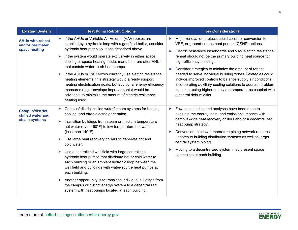| <b>Existing System</b>                                       | <b>Heat Pump Retrofit Options</b>                                                                                                                                                                                                                                                                                                                                                                                                                                                                                                                                                                                                                                                                                                                                                 | <b>Key Considerations</b>                                                                                                                                                                                                                                                                                                                                                                                                                                                                                                                                                                                                                              |  |
|--------------------------------------------------------------|-----------------------------------------------------------------------------------------------------------------------------------------------------------------------------------------------------------------------------------------------------------------------------------------------------------------------------------------------------------------------------------------------------------------------------------------------------------------------------------------------------------------------------------------------------------------------------------------------------------------------------------------------------------------------------------------------------------------------------------------------------------------------------------|--------------------------------------------------------------------------------------------------------------------------------------------------------------------------------------------------------------------------------------------------------------------------------------------------------------------------------------------------------------------------------------------------------------------------------------------------------------------------------------------------------------------------------------------------------------------------------------------------------------------------------------------------------|--|
| <b>AHUs with reheat</b><br>and/or perimeter<br>space heating | If the AHUs or Variable Air Volume (VAV) boxes are<br>supplied by a hydronic loop with a gas-fired boiler, consider<br>hydronic heat pump solutions described above.<br>If the system would operate exclusively in either space<br>▶<br>cooling or space heating mode, manufacturers offer AHUs<br>that contain water-to-air heat pumps.<br>If the AHUs or VAV boxes currently use electric resistance<br>▶<br>heating elements, this strategy would already support<br>heating electrification goals, but additional energy efficiency<br>measures (e.g., envelope improvements) would be<br>advisable to minimize the amount of electric resistance<br>heating used.                                                                                                            | Major renovation projects could consider conversion to<br>$\blacktriangleright$<br>VRF, or ground-source heat pumps (GSHP) options.<br>Electric resistance baseboards and VAV electric resistance<br>▶<br>reheat should not be the primary building heat source for<br>high-efficiency buildings.<br>Consider strategies to minimize the amount of reheat<br>▶<br>needed to serve individual building zones. Strategies could<br>include improved controls to balance supply air conditions,<br>incorporating auxiliary cooling solutions to address problem<br>zones, or using higher supply air temperatures coupled with<br>a central dehumidifier. |  |
| <b>Campus/district</b><br>chilled water and<br>steam systems | Campus/ district chilled water/ steam systems for heating,<br>cooling, and often electric generation.<br>Transition buildings from steam or medium temperature<br>▶<br>hot water (over 160°F) to low temperature hot water<br>(less than 140°F).<br>Use large heat recovery chillers to generate hot and<br>▶<br>cold water.<br>Use a centralized well field with large centralized<br>▶<br>hydronic heat pumps that distribute hot or cold water to<br>each building or an ambient hydronic loop between the<br>well field and buildings with water-source heat pumps at<br>each building.<br>Another opportunity is to transition individual buildings from<br>▶<br>the campus or district energy system to a decentralized<br>system with heat pumps located at each building. | Few case studies and analyses have been done to<br>▶<br>evaluate the energy, cost, and emissions impacts with<br>campus-wide heat recovery chillers and/or a decentralized<br>heat pump strategy.<br>Conversion to a low temperature piping network requires<br>▶<br>updates to building distribution systems as well as larger<br>central system piping.<br>Moving to a decentralized system may present space<br>constraints at each building.                                                                                                                                                                                                       |  |

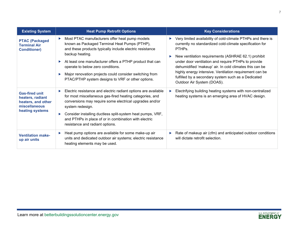| <b>Existing System</b>                                                                              | <b>Heat Pump Retrofit Options</b>                                                                                                                                                                                                                                                                                                                                                                                                  | <b>Key Considerations</b>                                                                                                                                                                                                                                                                                                                                                                                                                                              |  |
|-----------------------------------------------------------------------------------------------------|------------------------------------------------------------------------------------------------------------------------------------------------------------------------------------------------------------------------------------------------------------------------------------------------------------------------------------------------------------------------------------------------------------------------------------|------------------------------------------------------------------------------------------------------------------------------------------------------------------------------------------------------------------------------------------------------------------------------------------------------------------------------------------------------------------------------------------------------------------------------------------------------------------------|--|
| <b>PTAC (Packaged</b><br><b>Terminal Air</b><br><b>Conditioner)</b>                                 | Most PTAC manufacturers offer heat pump models<br>$\blacktriangleright$<br>known as Packaged Terminal Heat Pumps (PTHP),<br>and these products typically include electric resistance<br>backup heating.<br>At least one manufacturer offers a PTHP product that can<br>▶<br>operate to below zero conditions.<br>Major renovation projects could consider switching from<br>▶<br>PTAC/PTHP system designs to VRF or other options. | Very limited availability of cold-climate PTHPs and there is<br>currently no standardized cold-climate specification for<br>PTHP <sub>s</sub><br>New ventilation requirements (ASHRAE 62.1) prohibit<br>under door ventilation and require PTHPs to provide<br>dehumidified 'makeup' air. In cold climates this can be<br>highly energy intensive. Ventilation requirement can be<br>fulfilled by a secondary system such as a Dedicated<br>Outdoor Air System (DOAS). |  |
| <b>Gas-fired unit</b><br>heaters, radiant<br>heaters, and other<br>miscellaneous<br>heating systems | Electric resistance and electric radiant options are available<br>for most miscellaneous gas-fired heating categories, and<br>conversions may require some electrical upgrades and/or<br>system redesign.<br>Consider installing ductless split-system heat pumps, VRF,<br>▶<br>and PTHPs in place of or in combination with electric<br>resistance and radiant options.                                                           | Electrifying building heating systems with non-centralized<br>Þ.<br>heating systems is an emerging area of HVAC design.                                                                                                                                                                                                                                                                                                                                                |  |
| <b>Ventilation make-</b><br>up air units                                                            | Heat pump options are available for some make-up air<br>▶<br>units and dedicated outdoor air systems; electric resistance<br>heating elements may be used.                                                                                                                                                                                                                                                                         | Rate of makeup air (cfm) and anticipated outdoor conditions<br>will dictate retrofit selection.                                                                                                                                                                                                                                                                                                                                                                        |  |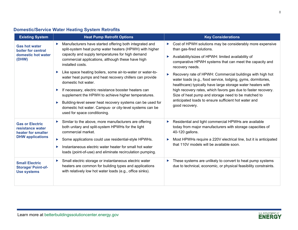|  | <b>Existing System</b>                                                   | <b>Heat Pump Retrofit Options</b>                                                                                                                                                      | <b>Key Considerations</b>                                                                                                                                                                     |  |
|--|--------------------------------------------------------------------------|----------------------------------------------------------------------------------------------------------------------------------------------------------------------------------------|-----------------------------------------------------------------------------------------------------------------------------------------------------------------------------------------------|--|
|  | <b>Gas hot water</b><br>boiler for central                               | Manufacturers have started offering both integrated and<br>▶<br>split-system heat pump water heaters (HPWH) with higher                                                                | Cost of HPWH solutions may be considerably more expensive<br>▶<br>than gas-fired solutions.                                                                                                   |  |
|  | domestic hot water<br>(DHW)                                              | capacity and supply temperatures for high demand<br>commercial applications, although these have high<br>installed costs.                                                              | Availability/sizes of HPWH: limited availability of<br>▶<br>comparative HPWH systems that can meet the capacity and<br>recovery needs.                                                        |  |
|  |                                                                          | Like space heating boilers, some air-to-water or water-to-<br>▶<br>water heat pumps and heat recovery chillers can provide<br>domestic hot water.                                      | Recovery rate of HPWH: Commercial buildings with high hot<br>▶<br>water loads (e.g., food service, lodging, gyms, dormitories,<br>healthcare) typically have large storage water heaters with |  |
|  | ▶<br>▶                                                                   | If necessary, electric resistance booster heaters can<br>supplement the HPWH to achieve higher temperatures.                                                                           | high recovery rates, which favors gas due to faster recovery.<br>Size of heat pump and storage need to be matched to                                                                          |  |
|  |                                                                          | Building-level sewer heat recovery systems can be used for<br>domestic hot water. Campus- or city-level systems can be<br>used for space conditioning.                                 | anticipated loads to ensure sufficient hot water and<br>good recovery.                                                                                                                        |  |
|  | <b>Gas or Electric</b><br>resistance water<br>heater for smaller         | Similar to the above, more manufacturers are offering<br>▶<br>both unitary and split-system HPWHs for the light<br>commercial market.                                                  | Residential and light commercial HPWHs are available<br>▶<br>today from major manufacturers with storage capacities of<br>40-120 gallons.                                                     |  |
|  | <b>DHW</b> applications                                                  | Some applications could use residential-style HPWHs.<br>▶<br>Instantaneous electric water heater for small hot water<br>▶<br>loads (point-of-use) and eliminate recirculation pumping. | Most HPWHs require a 220V electrical line, but it is anticipated<br>▶<br>that 110V models will be available soon.                                                                             |  |
|  | <b>Small Electric</b><br><b>Storage/ Point-of-</b><br><b>Use systems</b> | Small electric storage or instantaneous electric water<br>▶<br>heaters are common for building types and applications<br>with relatively low hot water loads (e.g., office sinks).     | These systems are unlikely to convert to heat pump systems<br>Þ<br>due to technical, economic, or physical feasibility constraints.                                                           |  |
|  |                                                                          |                                                                                                                                                                                        |                                                                                                                                                                                               |  |

#### **Domestic/Service Water Heating System Retrofits**

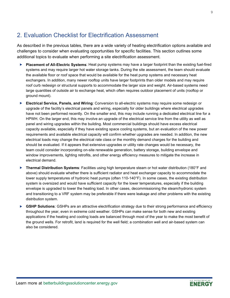## <span id="page-9-0"></span>2. Evaluation Checklist for Electrification Assessment

As described in the previous tables, there are a wide variety of heating electrification options available and challenges to consider when evaluating opportunities for specific facilities. This section outlines some additional topics to evaluate when performing a site electrification assessment.

- **Placement of All-Electric Systems**: Heat pump systems may have a larger footprint than the existing fuel-fired systems and may require larger hot water storage tanks. During the site assessment, the team should evaluate the available floor or roof space that would be available for the heat pump systems and necessary heat exchangers. In addition, many newer rooftop units have larger footprints than older models and may require roof curb redesign or structural supports to accommodate the larger size and weight. Air-based systems need large quantities of outside air to exchange heat, which often requires outdoor placement of units (rooftop or ground mount).
- **Electrical Service, Panels, and Wiring**: Conversion to all-electric systems may require some redesign or upgrade of the facility's electrical panels and wiring, especially for older buildings where electrical upgrades have not been performed recently. On the smaller end, this may include running a dedicated electrical line for a HPWH. On the larger end, this may involve an upgrade of the electrical service line from the utility as well as panel and wiring upgrades within the building. Most commercial buildings should have excess electrical capacity available, especially if they have existing space cooling systems, but an evaluation of the new power requirements and available electrical capacity will confirm whether upgrades are needed. In addition, the new electrical loads may change the electrical rate class or the monthly demand charges for the building and should be evaluated. If it appears that extensive upgrades or utility rate changes would be necessary, the team could consider incorporating on-site renewable generation, battery storage, building envelope and window improvements, lighting retrofits, and other energy efficiency measures to mitigate the increase in electrical demand.
- **Thermal Distribution Systems**: Facilities using high temperature steam or hot water distribution (180°F and above) should evaluate whether there is sufficient radiator and heat exchanger capacity to accommodate the lower supply temperatures of hydronic heat pumps (often 110-140°F). In some cases, the existing distribution system is oversized and would have sufficient capacity for the lower temperatures, especially if the building envelope is upgraded to lower the heating load. In other cases, decommissioning the steam/hydronic system and transitioning to a VRF system may be preferable if there were leakage and other problems with the existing distribution system.
- ▶ GSHP Solutions: GSHPs are an attractive electrification strategy due to their strong performance and efficiency throughout the year, even in extreme cold weather. GSHPs can make sense for both new and existing applications if the heating and cooling loads are balanced through most of the year to make the most benefit of the ground wells. For retrofit, land is required for the well field; a combination well and air-based system can also be considered.

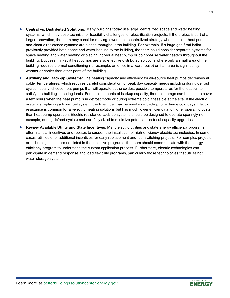- **Central vs. Distributed Solutions:** Many buildings today use large, centralized space and water heating systems, which may pose technical or feasibility challenges for electrification projects. If the project is part of a larger renovation, the team may consider moving towards a decentralized strategy where smaller heat pump and electric resistance systems are placed throughout the building. For example, if a large gas-fired boiler previously provided both space and water heating to the building, the team could consider separate systems for space heating and water heating or placing individual heat pump or point-of-use water heaters throughout the building. Ductless mini-split heat pumps are also effective distributed solutions where only a small area of the building requires thermal conditioning (for example, an office in a warehouse) or if an area is significantly warmer or cooler than other parts of the building.
- **Auxiliary and Back-up Systems:** The heating capacity and efficiency for air-source heat pumps decreases at colder temperatures, which requires careful consideration for peak day capacity needs including during defrost cycles. Ideally, choose heat pumps that will operate at the coldest possible temperatures for the location to satisfy the building's heating loads. For small amounts of backup capacity, thermal storage can be used to cover a few hours when the heat pump is in defrost mode or during extreme cold if feasible at the site. If the electric system is replacing a fossil fuel system, the fossil fuel may be used as a backup for extreme cold days. Electric resistance is common for all-electric heating solutions but has much lower efficiency and higher operating costs than heat pump operation. Electric resistance back-up systems should be designed to operate sparingly (for example, during defrost cycles) and carefully sized to minimize potential electrical capacity upgrades.
- **Review Available Utility and State Incentives**: Many electric utilities and state energy efficiency programs offer financial incentives and rebates to support the installation of high-efficiency electric technologies. In some cases, utilities offer additional incentives for early replacement and fuel-switching projects. For complex projects or technologies that are not listed in the incentive programs, the team should communicate with the energy efficiency program to understand the custom application process. Furthermore, electric technologies can participate in demand response and load flexibility programs, particularly those technologies that utilize hot water storage systems.

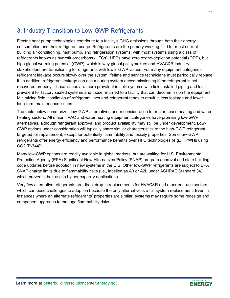## <span id="page-11-0"></span>3. Industry Transition to Low-GWP Refrigerants

Electric heat pump technologies contribute to a facility's GHG emissions through both their energy consumption and their refrigerant usage. Refrigerants are the primary working fluid for most current building air conditioning, heat pump, and refrigeration systems, with most systems using a class of refrigerants known as hydrofluorocarbons (HFCs). HFCs have zero ozone-depletion potential (ODP), but high global warming potential (GWP), which is why global policymakers and HVAC&R industry stakeholders are transitioning to refrigerants with lower GWP values. For many equipment categories, refrigerant leakage occurs slowly over the system lifetime and service technicians must periodically replace it. In addition, refrigerant leakage can occur during system decommissioning if the refrigerant is not recovered properly. These issues are more prevalent in split-systems with field installed piping and less prevalent for factory sealed systems and those returned to a facility that can decommission the equipment. Minimizing field installation of refrigerant lines and refrigerant tends to result in less leakage and fewer long-term maintenance issues.

The table below summarizes low-GWP alternatives under consideration for major space heating and water heating sectors. All major HVAC and water heating equipment categories have promising low-GWP alternatives, although refrigerant approval and product availability may still be under development. Low-GWP options under consideration will typically share similar characteristics to the high-GWP refrigerant targeted for replacement, except for potentially flammability and toxicity properties. Some low-GWP refrigerants offer energy efficiency and performance benefits over HFC technologies (e.g., HPWHs using CO2 [R-744]).

Many low-GWP options are readily available in global markets, but are waiting for U.S. Environmental Protection Agency (EPA) Significant New Alternatives Policy (SNAP) program approval and state building code updates before adoption in new systems in the U.S. Other low-GWP refrigerants are subject to EPA SNAP charge limits due to flammability risks (i.e., labelled as A3 or A2L under ASHRAE Standard 34), which prevents their use in higher capacity applications.

Very few alternative refrigerants are direct drop-in replacements for HVAC&R and other end-use sectors, which can pose challenges to adoption because the only alternative is a full system replacement. Even in instances where an alternate refrigerants' properties are similar, systems may require some redesign and component upgrades to manage flammability risks.

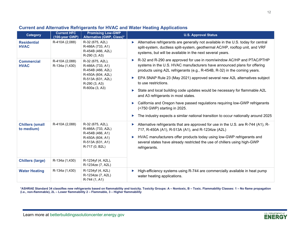| <b>Category</b>                      | <b>Current HFC</b><br>(100-year GWP) | <b>Promising Low-GWP</b><br>Alternative (GWP, Class)*                                                                  | <b>U.S. Approval Status</b>                                                                                                                                                                                                                                                                                              |
|--------------------------------------|--------------------------------------|------------------------------------------------------------------------------------------------------------------------|--------------------------------------------------------------------------------------------------------------------------------------------------------------------------------------------------------------------------------------------------------------------------------------------------------------------------|
| <b>Residential</b><br><b>HVAC</b>    | R-410A (2,088)                       | R-32 (675, A2L)<br>R-466A (733, A1)<br>R-454B (466, A2L)<br>R-290 (3, A3)                                              | Alternative refrigerants are generally not available in the U.S. today for central<br>▶<br>split-system, ductless split-system, geothermal AC/HP, rooftop unit, and VRF<br>systems, but will be available in the next several years.                                                                                     |
| <b>Commercial</b><br><b>HVAC</b>     | R-410A (2,088)<br>R-134a (1,430)     | R-32 (675, A2L),<br>R-466A (733, A1)<br>R-454B (466, A2L)<br>R-450A (604, A2L)                                         | R-32 and R-290 are approved for use in room/window AC/HP and PTAC/PTHP<br>▶<br>systems in the U.S. HVAC manufacturers have announced plans for offering<br>products using A2L refrigerants (e.g., R-454B, R-32) in the coming years.                                                                                     |
|                                      |                                      | R-513A (631, A2L)<br>R-290 (3, A3)                                                                                     | EPA SNAP Rule 23 (May 2021) approved several new A2L alternatives subject<br>to use restrictions.                                                                                                                                                                                                                        |
|                                      | R-600a (3, A3)                       | State and local building code updates would be necessary for flammable A2L<br>▶<br>and A3 refrigerants in most states. |                                                                                                                                                                                                                                                                                                                          |
|                                      |                                      | California and Oregon have passed regulations requiring low-GWP refrigerants<br>▶<br>(<750 GWP) starting in 2025.      |                                                                                                                                                                                                                                                                                                                          |
|                                      |                                      |                                                                                                                        | The industry expects a similar national transition to occur nationally around 2025                                                                                                                                                                                                                                       |
| <b>Chillers (small</b><br>to medium) | R-410A (2,088)                       | R-32 (675, A2L),<br>R-466A (733, A2L)<br>R-454B (466, A1)<br>R-450A (604, A1)<br>R-513A (631, A1)<br>R-717 (0, B2L)    | Alternative refrigerants that are approved for use in the U.S. are R-744 (A1), R-<br>▶<br>717, R-450A (A1), R-513A (A1), and R-1234ze (A2L)<br>HVAC manufacturers offer products today using low-GWP refrigerants and<br>▶<br>several states have already restricted the use of chillers using high-GWP<br>refrigerants. |
|                                      |                                      |                                                                                                                        |                                                                                                                                                                                                                                                                                                                          |
| <b>Chillers (large)</b>              | R-134a (1,430)                       | R-1234yf (4, A2L),<br>R-1234ze (7, A2L)                                                                                |                                                                                                                                                                                                                                                                                                                          |
| <b>Water Heating</b>                 | R-134a (1,430)                       | R-1234yf (4, A2L)<br>R-1234ze (7, A2L)<br>R-744 (1, A1)                                                                | High-efficiency systems using R-744 are commercially available in heat pump<br>Þ<br>water heating applications.                                                                                                                                                                                                          |

#### **Current and Alternative Refrigerants for HVAC and Water Heating Applications**

**\*ASHRAE Standard 34 classifies new refrigerants based on flammability and toxicity. Toxicity Groups: A – Nontoxic, B – Toxic. Flammability Classes: 1 – No flame propagation (i.e., non-flammable), 2L – Lower flammability 2 – Flammable, 3 – Higher flammability**

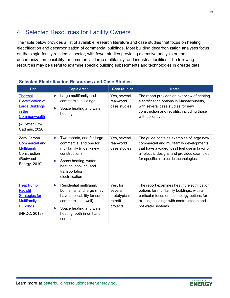## <span id="page-13-0"></span>4. Selected Resources for Facility Owners

The table below provides a list of available research literature and case studies that focus on heating electrification and decarbonization of commercial buildings. Most building decarbonization analyses focus on the single-family residential sector, with fewer studies providing extensive analysis on the decarbonization feasibility for commercial, large multifamily, and industrial facilities. The following resources may be useful to examine specific building subsegments and technologies in greater detail.

| <b>Title</b>                                                                                                                        | <b>Topic Areas</b>                                                                                                                                                                               | <b>Case Studies</b>                                         | <b>Notes</b>                                                                                                                                                                                                                  |
|-------------------------------------------------------------------------------------------------------------------------------------|--------------------------------------------------------------------------------------------------------------------------------------------------------------------------------------------------|-------------------------------------------------------------|-------------------------------------------------------------------------------------------------------------------------------------------------------------------------------------------------------------------------------|
| <b>Thermal</b><br><b>Electrification of</b><br><b>Large Buildings</b><br>in the<br>Commonwealth<br>(A Better City/<br>Cadmus, 2020) | Large multifamily and<br>▶<br>commercial buildings<br>Space heating and water<br>▶<br>heating                                                                                                    | Yes, several<br>real-world<br>case studies                  | The report provides an overview of heating<br>electrification options in Massachusetts,<br>with several case studies for new<br>construction and retrofits, including those<br>with boiler systems.                           |
| Zero Carbon<br><b>Commercial and</b><br><b>Multifamily</b><br>Construction<br>(Redwood<br>Energy, 2019)                             | Two reports, one for large<br>▶<br>commercial and one for<br>multifamily (mostly new<br>construction)<br>Space heating, water<br>▶<br>heating, cooking, and<br>transportation<br>electrification | Yes, several<br>real-world<br>case studies                  | The guide contains examples of large new<br>commercial and multifamily developments<br>that have avoided fossil fuel use in favor of<br>all-electric designs and provides examples<br>for specific all-electric technologies. |
| <b>Heat Pump</b><br><b>Retrofit</b><br><b>Strategies for</b><br><b>Multifamily</b><br><b>Buildings</b><br>(NRDC, 2019)              | Residential multifamily,<br>▶<br>both small and large (may<br>have applicability for some<br>commercial as well)<br>Space heating and water<br>▶<br>heating, both in-unit and<br>central         | Yes, for<br>several<br>prototypical<br>retrofit<br>projects | The report examines heating electrification<br>options for multifamily buildings, with a<br>particular focus on technology options for<br>existing buildings with central steam and<br>hot water systems.                     |

#### **Selected Electrification Resources and Case Studies**



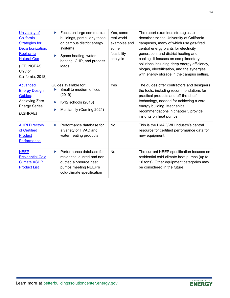| <b>University of</b><br>California<br><b>Strategies for</b><br>Decarbonization:<br>Replacing<br><b>Natural Gas</b><br>(IEE, NCEAS,<br>Univ of<br>California, 2018) | Focus on large commercial<br>▶<br>buildings, particularly those<br>on campus district energy<br>systems<br>Space heating, water<br>▶<br>heating, CHP, and process<br>loads | Yes, some<br>real-world<br>examples and<br>some<br>feasibility<br>analysis | The report examines strategies to<br>decarbonize the University of California<br>campuses, many of which use gas-fired<br>central energy plants for electricity<br>generation, and district heating and<br>cooling. It focuses on complimentary<br>solutions including deep energy efficiency,<br>biogas, electrification, and the synergies<br>with energy storage in the campus setting. |
|--------------------------------------------------------------------------------------------------------------------------------------------------------------------|----------------------------------------------------------------------------------------------------------------------------------------------------------------------------|----------------------------------------------------------------------------|--------------------------------------------------------------------------------------------------------------------------------------------------------------------------------------------------------------------------------------------------------------------------------------------------------------------------------------------------------------------------------------------|
| <b>Advanced</b><br><b>Energy Design</b><br>Guides:<br>Achieving Zero<br><b>Energy Series</b><br>(ASHRAE)                                                           | Guides available for:<br>Small to medium offices<br>(2019)<br>K-12 schools (2018)<br>▶<br>Multifamily (Coming 2021)<br>▶                                                   | Yes                                                                        | The guides offer contractors and designers<br>the tools, including recommendations for<br>practical products and off-the-shelf<br>technology, needed for achieving a zero-<br>energy building. Mechanical<br>recommendations in chapter 5 provide<br>insights on heat pumps.                                                                                                               |
| <b>AHRI Directory</b><br>of Certified<br>Product<br>Performance                                                                                                    | Performance database for<br>Þ.<br>a variety of HVAC and<br>water heating products                                                                                          | No                                                                         | This is the HVAC/WH industry's central<br>resource for certified performance data for<br>new equipment.                                                                                                                                                                                                                                                                                    |
| <b>NEEP</b><br><b>Residential Cold</b><br><b>Climate ASHP</b><br><b>Product List</b>                                                                               | Performance database for<br>▶<br>residential ducted and non-<br>ducted air-source heat<br>pumps meeting NEEP's<br>cold-climate specification                               | No                                                                         | The current NEEP specification focuses on<br>residential cold-climate heat pumps (up to<br>~6 tons). Other equipment categories may<br>be considered in the future.                                                                                                                                                                                                                        |